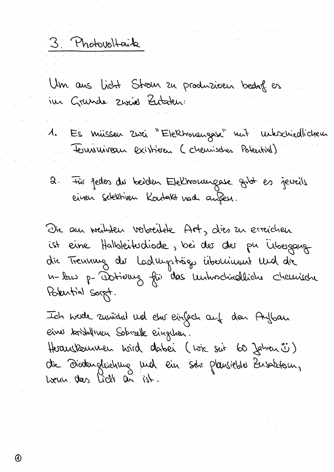3. Photovoltaik

 $\odot$ 

Um aus licht Strom zu produzieren bedag es

- 1. Es missen 2000 "Elektronengase" muit interchiedlichem
- 2. Fûr Jedes du beiden Ekelworungase gibt es jeweils<br>einen schektiven Kontakt nach anßen.

Die au weilchen verbreitete Art, dies zu erreichen ist eine Halbleitudiode, bei des des pu Ubergaug<br>die Treumung des Ladwysträgs überlieuwt Wed die Pokutial Sorgt.

Ich herde aussidist und eine einfach auf den Aufban Einer korstallinen Soborelle eingchen.

Herauskourmen hoird dabei (voie suit 60 Jahren ° )<br>die Diodengleichung und ein schr plansieble Eusaktour,<br>heun das lich an ist.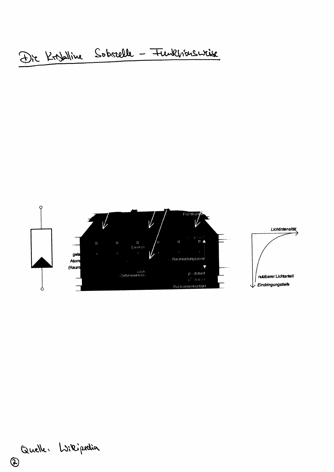

Quelle: Willipedia

 $\odot$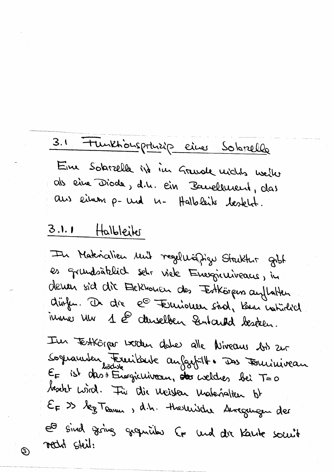## Tunktionsprinzip eines Solarelle  $3.1$

Eine Sobrzelle ist im Grunde michts weiler als eine Diode, d.h. ein Bauellucent, das aus einem p- und n- Halbleits testelst.

## Halbleiter  $3.1.1$

©ි)

In Materialien und regelwäßigu Struktur gibt es grundsatelich schr viele Energieuveacus, in deven sid die Elekhonen des Estkörpens auflatten disfer. De die  $e^{\odot}$  Eurioner sind, Kom natürlich inner von 1 @ denselben Quitard besetzen.

I'm FestKörper worden date alle Niveaus bis zur Sognamber Frecibarte au Gapille Das Fouriniveau E= ist des Fragierriveau, des coeldres bei T=0 besite wird. Für die Weister Materialien bt EF >> leg Teamer, d.h. Hierleische Auregenigen der et sind zering granithes for und dir Kante somit recht steil: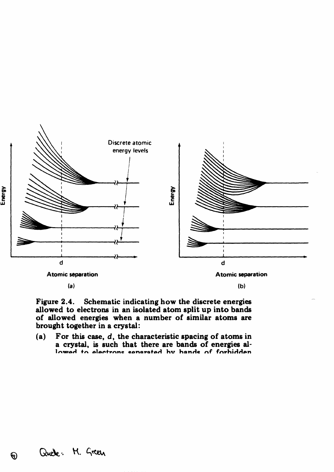

(a)

(b)

Figure 2.4. Schematic indicating how the discrete energies allowed to electrons in an isolated atom split up into bands of allowed energies when a number of similar atoms are brought together in a crystal:

(a) For this case,  $d$ , the characteristic spacing of atoms in a cryetal, is such that there are bands of energies allowad to alactrone eanaratad hy hande of forhidden

 $\bm{\Theta}$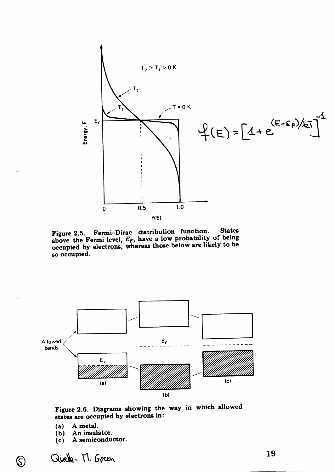

Figure 2.5. Fermi-Dirac distribution function. States<br>above the Fermi level,  $E_F$ , have a low probability of being occupied by electrons, whereas those below are likely to be so occupied.



Figure 2.6. Diagrams showing the way in which allowed states are occupied by electrons in:

- A metal.  $(a)$
- An insulator.  $(b)$
- A semiconductor.  $(c)$

Quelle: M. Green

 $\circledS$ 

19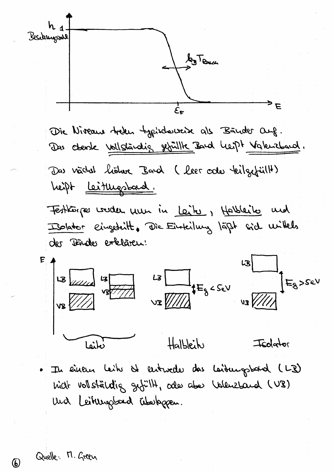Becklungsall E Die Niveaus treken typischwereise als Bänder Ouf. Das Obenle Vollständig gefüllte Band Leipt Vakuzband. Das nachst lioture Bard (leer codes teilgefüllt) heift <u>leiturgsbard</u>. Festions voider mun in Leite, Holbleite met Iblator eingebeitt. Die Einteilung läßt sich willels der Bänder erklären:  $\begin{array}{c}\n\begin{array}{c}\n\begin{array}{c}\n\begin{array}{c}\n\begin{array}{c}\n\begin{array}{c}\n\begin{array}{c}\n\begin{array}{c}\n\begin{array}{c}\n\begin{array}{c}\n\begin{array}{c}\n\begin{array}{c}\n\begin{array}{c}\n\begin{array}{c}\n\begin{array}{c}\n\begin{array}{c}\n\begin{array}{c}\n\begin{array}{c}\n\begin{array}{c}\n\begin{array}{c}\n\begin{array}{c}\n\begin{array}{c}\n\begin{array}{c}\n\begin{array}{c}\n\begin{array}{c}\n\begin{array}{c}\n\begin{array}{c}\n\begin{array$  $E_8$ >sev Halbleit Isolator نطنقا Il einem leit de entweder das Laitungstand (LB) nich vollständig gefült, also aber Valenzband (VB) und Leitungsband überlagen.

Quelle: M. Green

 $\bm{\omega}$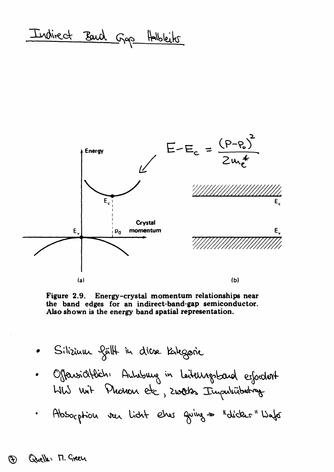Indirect Band Gap Halbleits



Figure 2.9. Energy-crystal momentum relationships near the band edges for an indirect-band-gap semiconductor. Also shown is the energy band spatial representation.

- Silizium fällt in diese Kalegorie
- Offensichtlich: Anhabung in Leiteurgsband esfordert Wis unit Phonon etc, zweeks Impulsibation
- Absorption von Licht ehrer Quing = "dicker" Water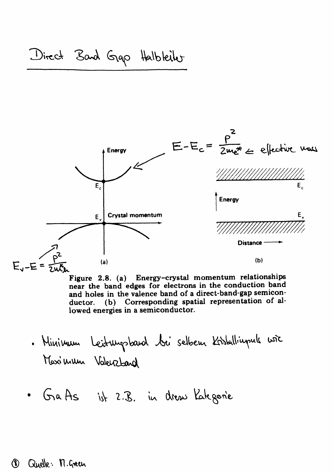

Figure 2.8. (a) Energy-crystal momentum relationships near the band edges for electrons in the conduction band and holes in the valence band of a direct-band-gap semicon-(b) Corresponding spatial representation of alductor. lowed energies in a semiconductor.

- . Minimum Leitungsband bei selbem Kistallingule wie Maximum Valenzbard
- · GaAs ist 2.B. in dress Kategorie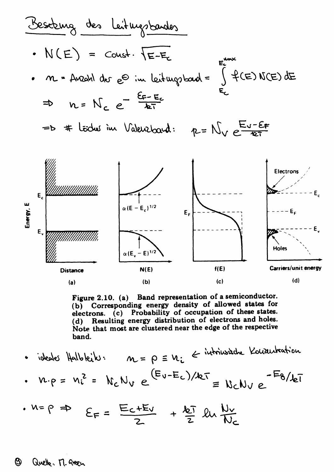

Figure 2.10. (a) Band representation of a semiconductor. (b) Corresponding energy density of allowed states for electrons. (c) Probability of occupation of these states. (d) Resulting energy distribution of electrons and holes. Note that most are clustered near the edge of the respective band.

- ideales Halbleik:  $m = \rho \equiv u_i \text{ } \in \text{ }$ intrinsische Konzurtration  $w \cdot \rho = v_i^2 = N_c N_v e^{(E_v - E_c)/kT} = N_c N_v e^{-E_8/kT}$
- $M = \rho \Rightarrow \quad \epsilon_F = \frac{E_C + E_V}{2} + \frac{1}{2} \ln \frac{N_V}{N_C}$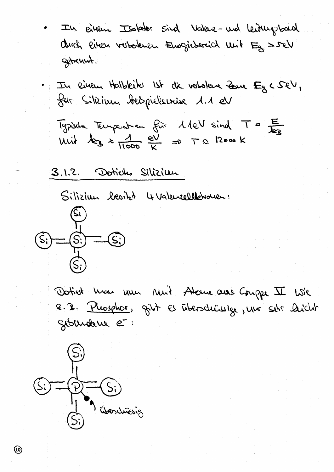In Biken Isolator sind Valera-und Leiburgbard durch linen vorboknen Eurgicherich unit Eg Soel gebreunt.

. In einem Halbleike ist die verlokene Zone Eg < SeV, für Silizium bespielserise 1.1 eV

Typische Temperation für 1.1eV sind  $T = \frac{E}{k_B}$ <br>With  $k_B \approx \frac{1}{11000} \frac{eV}{K} = P T R \text{ }R \text{ }$ 

3.1.2. Doticles Silizium

Siliziun besitzt 4 Valenzellebrouen:



Dotiet mon nun nuit Atome aus Gruppe II Wie e. I. Plusphor, gibt es überschüssige, unr sehr laicht Siburdeux et:

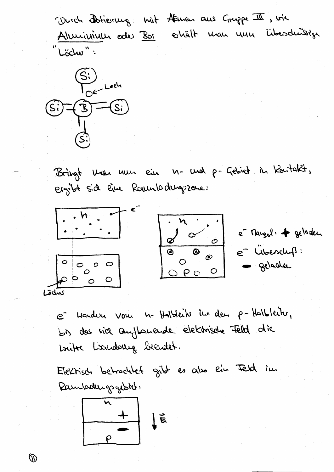Durch Dotierung mit Atmen aus Gruppe III, vie Aluninium odes Bor eshält man nun überdnüssige "Löche":



 $\mathbb{O}$ 

Bringt Man mun ein n- und p-Gebiet in Kontakt, ergibt sid line Rounladugszone:



e isander vous n. Halbleik in den p-Halbleik, bis des sice aufformende elektrische Feld die Libre Louderug beendet.

Elektrisch betrachtet gibt es also ein Feld im Rambodungsgebiet:  $\frac{1}{\sqrt{1-\frac{1}{2}}}$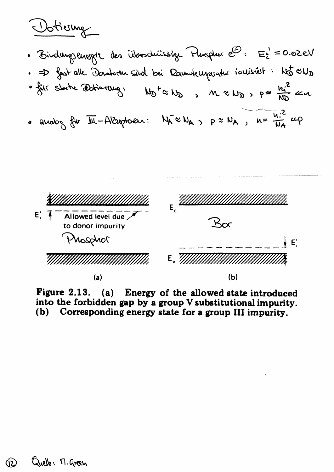Votierne

- · Birdungsenogte des Üboschüssige Phosphore d: E: = 0.02 eV
- . = D fast alle Donatoren saind bei Raumteurpuntur ionisiést: Nã xV3
- · für starte Dotierrung.  $M_{\odot}$  t  $\approx$   $M_{\odot}$  ,  $M \approx M_{\odot}$ ,  $\rho \approx \frac{h_{i}^{2}}{M_{\odot}}$   $\approx$   $\alpha$
- . analog für III-Alseptoen:  $N_A \approx N_{A}$ ,  $\rho \approx N_A$ ,  $u = \frac{u_1^2}{N_A}$  cop



Figure 2.13. (a) Energy of the allowed state introduced into the forbidden gap by a group V substitutional impurity. (b) Corresponding energy state for a group III impurity.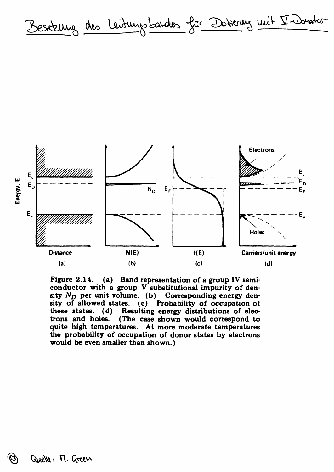Beseteung des Leidungsbandes für Dotterung mit V-Donatos



Figure 2.14. (a) Band representation of a group IV semiconductor with a group V substitutional impurity of density  $N_D$  per unit volume. (b) Corresponding energy density of allowed states. (c) Probability of occupation of these states. (d) Resulting energy distributions of electrons and holes. (The case shown would correspond to quite high temperatures. At more moderate temperatures the probability of occupation of donor states by electrons would be even smaller than shown.)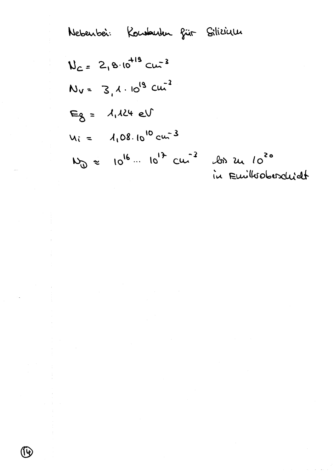Nebenbei: Koubarbm für Silizidu  
\n
$$
N_{c} = 2,8.10^{113} cm^{-3}
$$
\n
$$
N_{v} = 3,1.10^{19} cm^{-3}
$$
\n
$$
E_{8} = 1,124 eV
$$
\n
$$
N_{i} = 1,08.10^{10} cm^{-3}
$$
\n
$$
N_{0} = 10^{16} \cdot 10^{17} cm^{-3} cm^{-3}
$$
\n
$$
N_{u} = 10^{16} \cdot 10^{17} cm^{-3} cm^{-3}
$$
\n
$$
m \cdot m \cdot 10^{16} cm^{-3}
$$

 $\bar{z}$ 

 $\bar{1}$ 

 $\begin{array}{c} \frac{1}{2} \\ \frac{1}{2} \end{array}$ 

 $\bar{\bar{z}}$ 

 $\bigcirc$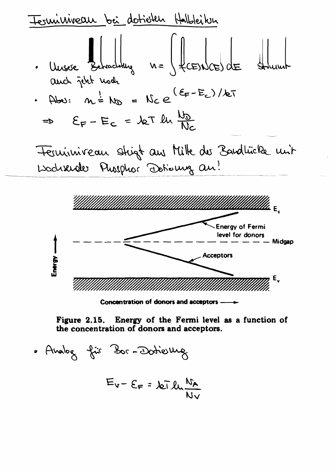| Leuwivireaux                                                                 | bei                                      | Uclileikun                         |           |
|------------------------------------------------------------------------------|------------------------------------------|------------------------------------|-----------|
| Uusse                                                                        | Harodung                                 | $n = \int \{C_{in} \cap C_{in} \}$ | Le        |
| Quot                                                                         | îcht uod.                                |                                    |           |
| Abo:                                                                         | $m = N_0 = N_0 e^{(E_{in} - E_{in})/kT}$ |                                    |           |
| =b                                                                           | $E_{F} - E_{C} = kT \ln \frac{N_0}{N_0}$ |                                    |           |
| Teruivireau                                                                  | Shigt auv                                | Liik dos                           | 2ardlücku |
| Isodusude                                                                    | Pusphor                                  | Oblouug an                         |           |
| Wullillillillillillillillillillillillillillillillillillillill                |                                          |                                    |           |
| Wullillillillillillillillillillillillillillillillillillillillillillillillill |                                          |                                    |           |
| Revery of Fermi level for donors                                             |                                          |                                    |           |
| Receltors                                                                    |                                          |                                    |           |

Concentration of donors and acceptors -

Figure 2.15. Energy of the Fermi level as a function of the concentration of donors and acceptors.

. Analog für Bor-Dotierung  $E_v - E_F = \sqrt{2\pi} \ln \frac{N_A}{N_V}$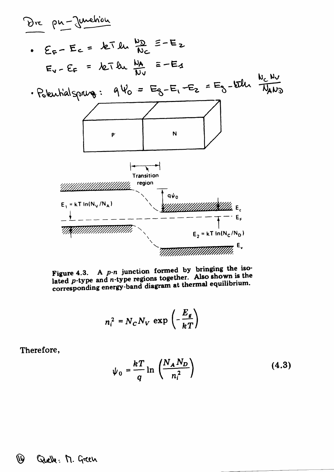

Figure 4.3. A  $p$ -n junction formed by bringing the isolated p-type and n-type regions together. Also shown is the corresponding energy-band diagram at thermal equilibrium.

$$
n_i^2 = N_C N_V \exp\left(-\frac{E_g}{kT}\right)
$$

Therefore,

$$
\psi_0 = \frac{kT}{q} \ln \left( \frac{N_A N_D}{n_i^2} \right) \tag{4.3}
$$

## **QQ** Quelle: M. Green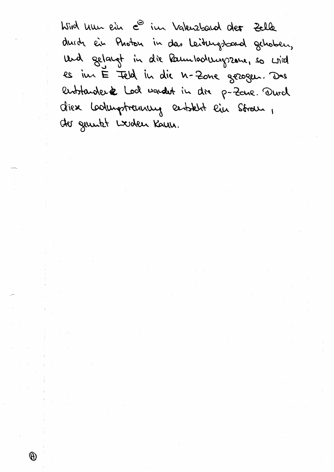Wird Une ein e<sup>s im</sup> Valenzband der Zelle durch ein Photon in das Leitungsband gehoben, und gelangt in die Rambodungszone, so wird es im E Feld in die n-Zone gezogen. Das entstanderse Lod vandet in dre p-Zane. Durch diex Lookurptreuning eertsklit ein Strau, der generkt Loden Kann.

 $\theta$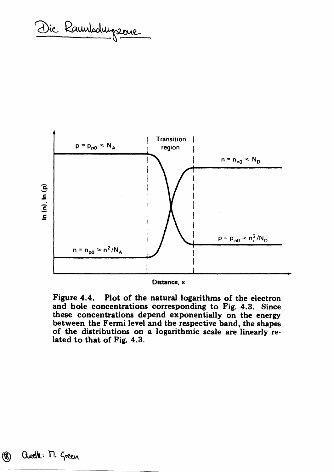Die Raunbalungszeue



Distance, x

Figure 4.4. Plot of the natural logarithms of the electron and hole concentrations corresponding to Fig. 4.3. Since these concentrations depend exponentially on the energy between the Fermi level and the respective band, the shapes of the distributions on a logarithmic scale are linearly related to that of Fig. 4.3.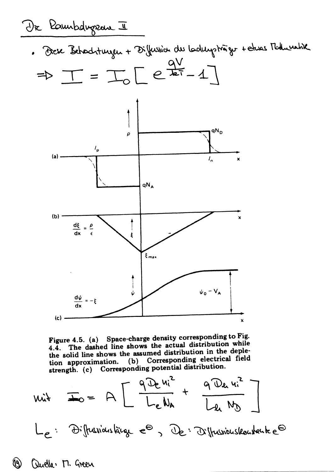

Figure 4.5. (a) Space-charge density corresponding to Fig. 4.4. The dashed line shows the actual distribution while the solid line shows the assumed distribution in the depletion approximation. (b) Corresponding electrical field strength. (c) Corresponding potential distribution.

 $u_{it} = \frac{1}{\sqrt{2}} = A \left[ \frac{q D_e u_i^2}{L_e u_e} + \frac{q D_e u_i^2}{l_e u_e} \right]$ 

Le: Diffussionslaige et, De: Diffussionskouskaute et